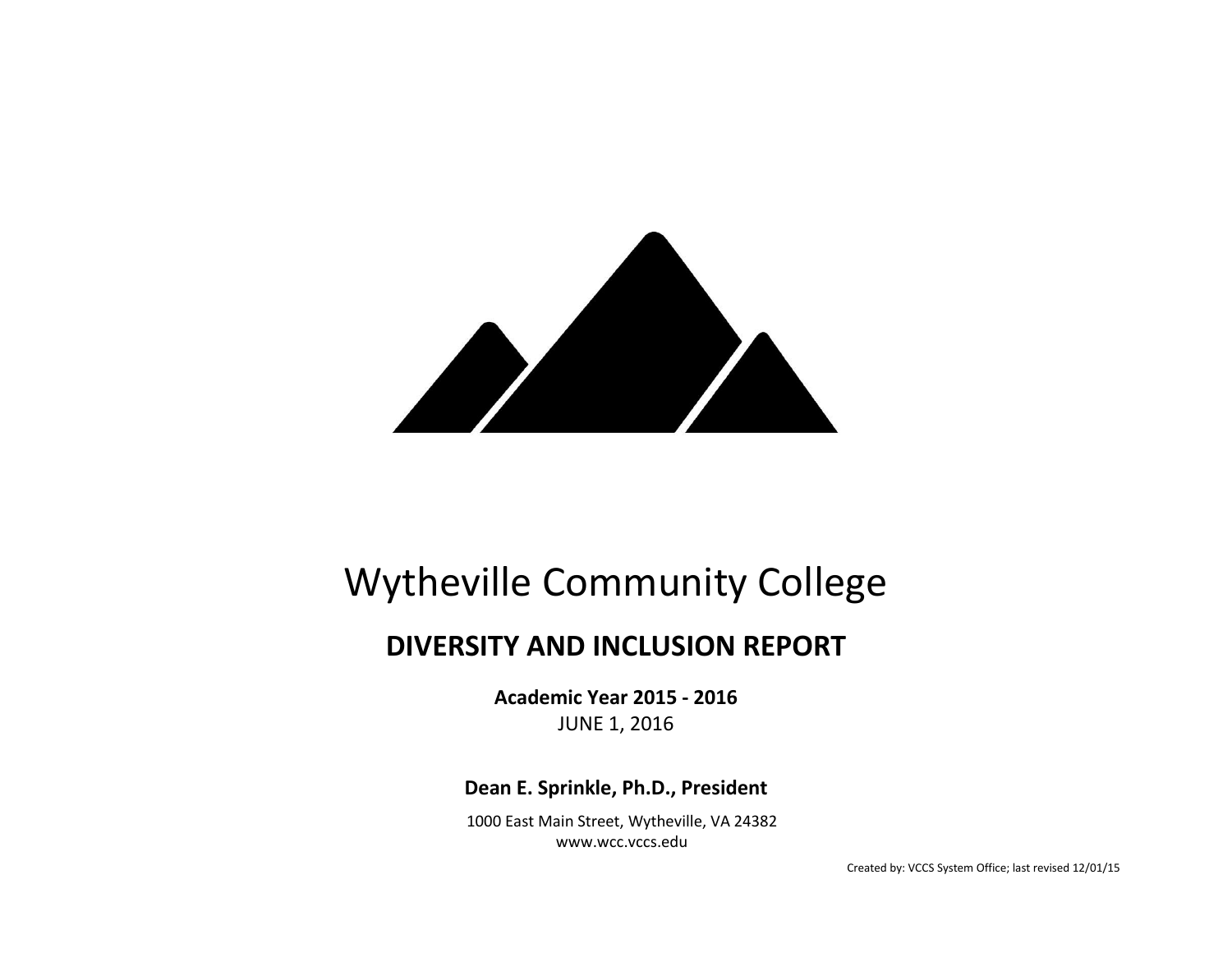

# Wytheville Community College

# **DIVERSITY AND INCLUSION REPORT**

**Academic Year 2015 - 2016** JUNE 1, 2016

**Dean E. Sprinkle, Ph.D., President**

1000 East Main Street, Wytheville, VA 24382 www.wcc.vccs.edu

Created by: VCCS System Office; last revised 12/01/15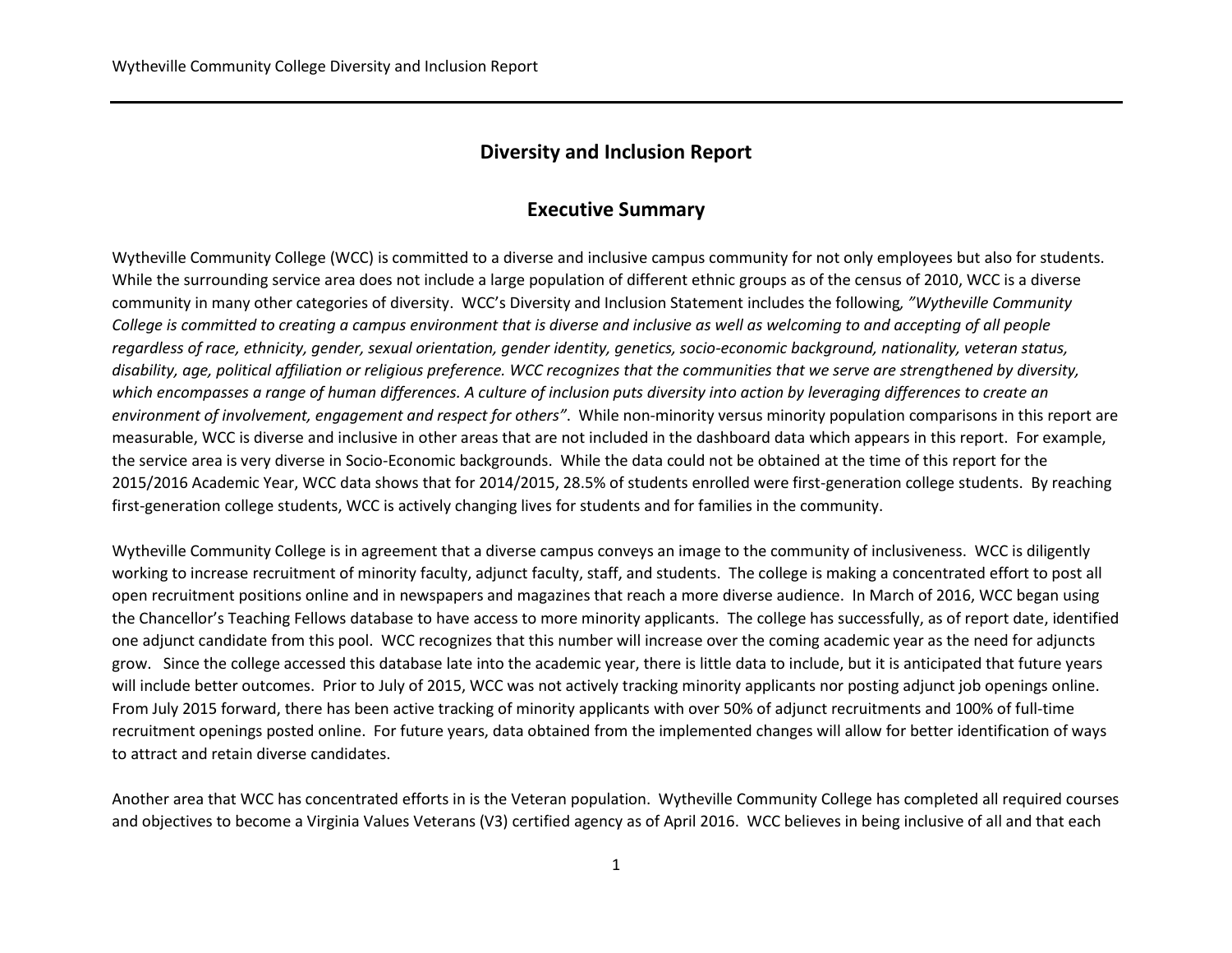## **Diversity and Inclusion Report**

### **Executive Summary**

Wytheville Community College (WCC) is committed to a diverse and inclusive campus community for not only employees but also for students. While the surrounding service area does not include a large population of different ethnic groups as of the census of 2010, WCC is a diverse community in many other categories of diversity. WCC's Diversity and Inclusion Statement includes the following*, "Wytheville Community College is committed to creating a campus environment that is diverse and inclusive as well as welcoming to and accepting of all people regardless of race, ethnicity, gender, sexual orientation, gender identity, genetics, socio-economic background, nationality, veteran status, disability, age, political affiliation or religious preference. WCC recognizes that the communities that we serve are strengthened by diversity, which encompasses a range of human differences. A culture of inclusion puts diversity into action by leveraging differences to create an environment of involvement, engagement and respect for others"*. While non-minority versus minority population comparisons in this report are measurable, WCC is diverse and inclusive in other areas that are not included in the dashboard data which appears in this report. For example, the service area is very diverse in Socio-Economic backgrounds. While the data could not be obtained at the time of this report for the 2015/2016 Academic Year, WCC data shows that for 2014/2015, 28.5% of students enrolled were first-generation college students. By reaching first-generation college students, WCC is actively changing lives for students and for families in the community.

Wytheville Community College is in agreement that a diverse campus conveys an image to the community of inclusiveness. WCC is diligently working to increase recruitment of minority faculty, adjunct faculty, staff, and students. The college is making a concentrated effort to post all open recruitment positions online and in newspapers and magazines that reach a more diverse audience. In March of 2016, WCC began using the Chancellor's Teaching Fellows database to have access to more minority applicants. The college has successfully, as of report date, identified one adjunct candidate from this pool. WCC recognizes that this number will increase over the coming academic year as the need for adjuncts grow. Since the college accessed this database late into the academic year, there is little data to include, but it is anticipated that future years will include better outcomes. Prior to July of 2015, WCC was not actively tracking minority applicants nor posting adjunct job openings online. From July 2015 forward, there has been active tracking of minority applicants with over 50% of adjunct recruitments and 100% of full-time recruitment openings posted online. For future years, data obtained from the implemented changes will allow for better identification of ways to attract and retain diverse candidates.

Another area that WCC has concentrated efforts in is the Veteran population. Wytheville Community College has completed all required courses and objectives to become a Virginia Values Veterans (V3) certified agency as of April 2016. WCC believes in being inclusive of all and that each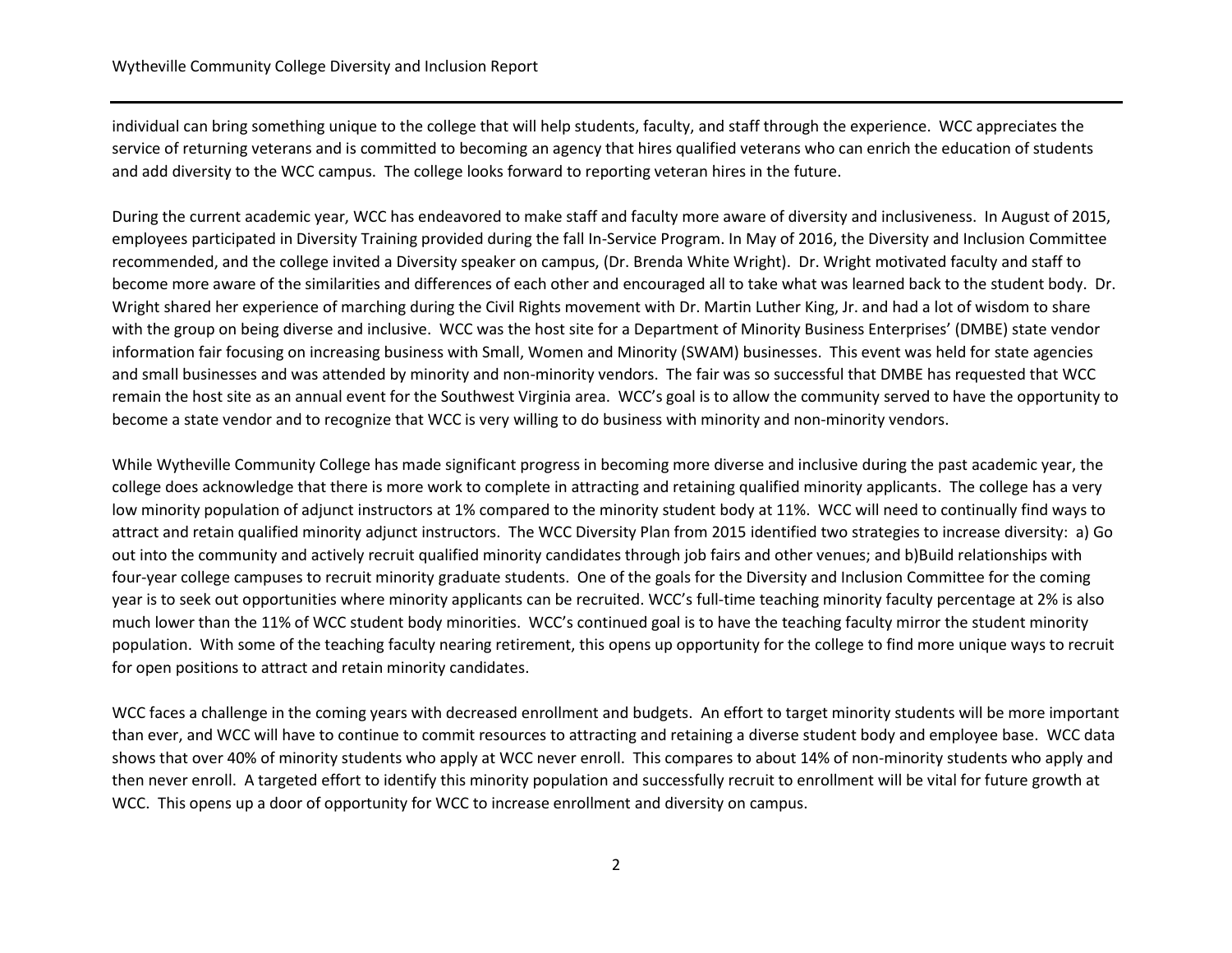individual can bring something unique to the college that will help students, faculty, and staff through the experience. WCC appreciates the service of returning veterans and is committed to becoming an agency that hires qualified veterans who can enrich the education of students and add diversity to the WCC campus. The college looks forward to reporting veteran hires in the future.

During the current academic year, WCC has endeavored to make staff and faculty more aware of diversity and inclusiveness. In August of 2015, employees participated in Diversity Training provided during the fall In-Service Program. In May of 2016, the Diversity and Inclusion Committee recommended, and the college invited a Diversity speaker on campus, (Dr. Brenda White Wright). Dr. Wright motivated faculty and staff to become more aware of the similarities and differences of each other and encouraged all to take what was learned back to the student body. Dr. Wright shared her experience of marching during the Civil Rights movement with Dr. Martin Luther King, Jr. and had a lot of wisdom to share with the group on being diverse and inclusive. WCC was the host site for a Department of Minority Business Enterprises' (DMBE) state vendor information fair focusing on increasing business with Small, Women and Minority (SWAM) businesses. This event was held for state agencies and small businesses and was attended by minority and non-minority vendors. The fair was so successful that DMBE has requested that WCC remain the host site as an annual event for the Southwest Virginia area. WCC's goal is to allow the community served to have the opportunity to become a state vendor and to recognize that WCC is very willing to do business with minority and non-minority vendors.

While Wytheville Community College has made significant progress in becoming more diverse and inclusive during the past academic year, the college does acknowledge that there is more work to complete in attracting and retaining qualified minority applicants. The college has a very low minority population of adjunct instructors at 1% compared to the minority student body at 11%. WCC will need to continually find ways to attract and retain qualified minority adjunct instructors. The WCC Diversity Plan from 2015 identified two strategies to increase diversity: a) Go out into the community and actively recruit qualified minority candidates through job fairs and other venues; and b)Build relationships with four-year college campuses to recruit minority graduate students. One of the goals for the Diversity and Inclusion Committee for the coming year is to seek out opportunities where minority applicants can be recruited. WCC's full-time teaching minority faculty percentage at 2% is also much lower than the 11% of WCC student body minorities. WCC's continued goal is to have the teaching faculty mirror the student minority population. With some of the teaching faculty nearing retirement, this opens up opportunity for the college to find more unique ways to recruit for open positions to attract and retain minority candidates.

WCC faces a challenge in the coming years with decreased enrollment and budgets. An effort to target minority students will be more important than ever, and WCC will have to continue to commit resources to attracting and retaining a diverse student body and employee base. WCC data shows that over 40% of minority students who apply at WCC never enroll. This compares to about 14% of non-minority students who apply and then never enroll. A targeted effort to identify this minority population and successfully recruit to enrollment will be vital for future growth at WCC. This opens up a door of opportunity for WCC to increase enrollment and diversity on campus.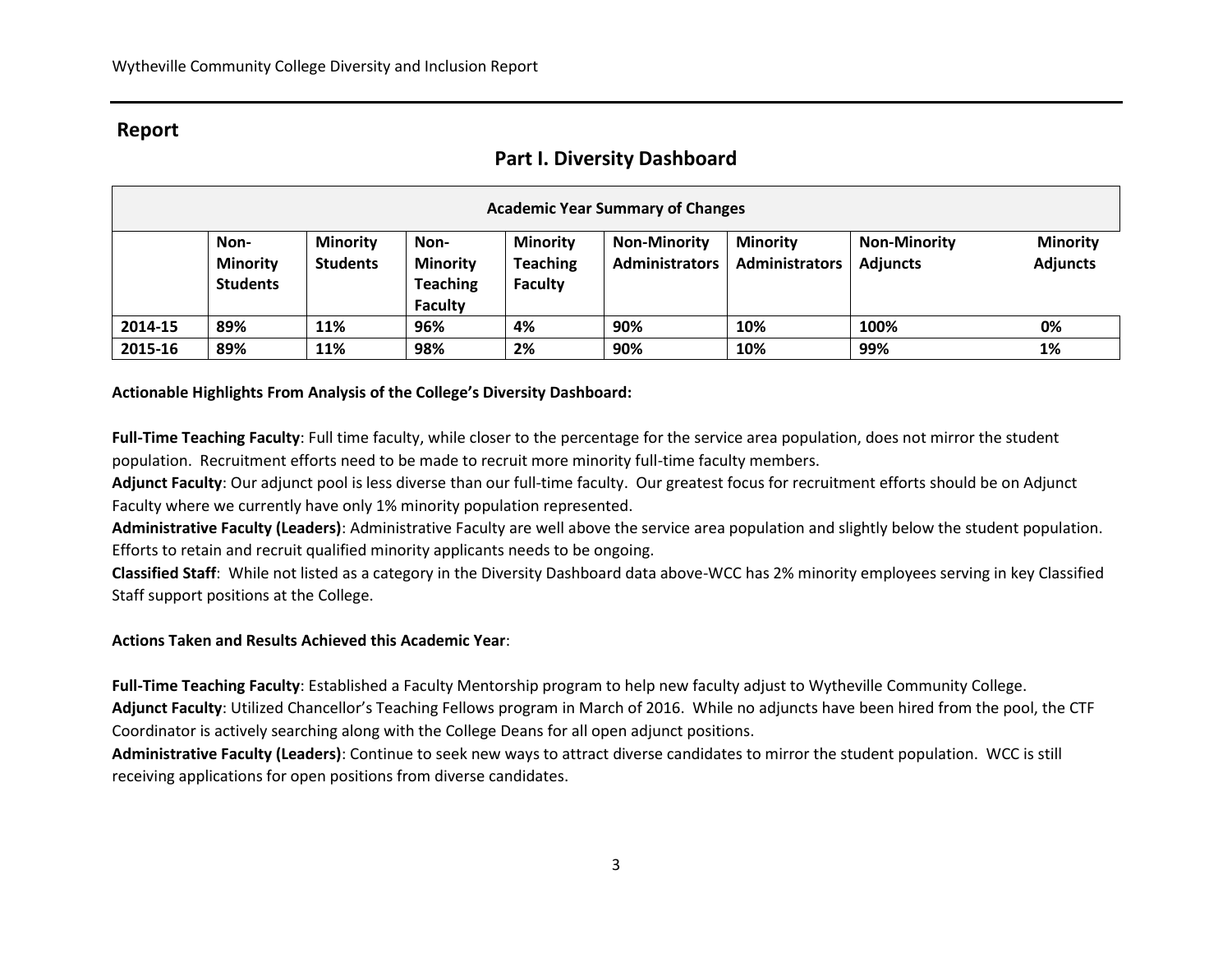## **Report**

## **Part I. Diversity Dashboard**

| <b>Academic Year Summary of Changes</b> |                                            |                                    |                                                              |                                                      |                                              |                                          |                                        |                                    |
|-----------------------------------------|--------------------------------------------|------------------------------------|--------------------------------------------------------------|------------------------------------------------------|----------------------------------------------|------------------------------------------|----------------------------------------|------------------------------------|
|                                         | Non-<br><b>Minority</b><br><b>Students</b> | <b>Minority</b><br><b>Students</b> | Non-<br><b>Minority</b><br><b>Teaching</b><br><b>Faculty</b> | <b>Minority</b><br><b>Teaching</b><br><b>Faculty</b> | <b>Non-Minority</b><br><b>Administrators</b> | <b>Minority</b><br><b>Administrators</b> | <b>Non-Minority</b><br><b>Adjuncts</b> | <b>Minority</b><br><b>Adjuncts</b> |
| 2014-15                                 | 89%                                        | 11%                                | 96%                                                          | 4%                                                   | 90%                                          | 10%                                      | 100%                                   | 0%                                 |
| 2015-16                                 | 89%                                        | 11%                                | 98%                                                          | 2%                                                   | 90%                                          | 10%                                      | 99%                                    | 1%                                 |

#### **Actionable Highlights From Analysis of the College's Diversity Dashboard:**

**Full-Time Teaching Faculty**: Full time faculty, while closer to the percentage for the service area population, does not mirror the student population. Recruitment efforts need to be made to recruit more minority full-time faculty members.

**Adjunct Faculty**: Our adjunct pool is less diverse than our full-time faculty. Our greatest focus for recruitment efforts should be on Adjunct Faculty where we currently have only 1% minority population represented.

**Administrative Faculty (Leaders)**: Administrative Faculty are well above the service area population and slightly below the student population. Efforts to retain and recruit qualified minority applicants needs to be ongoing.

**Classified Staff**: While not listed as a category in the Diversity Dashboard data above-WCC has 2% minority employees serving in key Classified Staff support positions at the College.

#### **Actions Taken and Results Achieved this Academic Year**:

**Full-Time Teaching Faculty**: Established a Faculty Mentorship program to help new faculty adjust to Wytheville Community College. **Adjunct Faculty**: Utilized Chancellor's Teaching Fellows program in March of 2016. While no adjuncts have been hired from the pool, the CTF Coordinator is actively searching along with the College Deans for all open adjunct positions.

**Administrative Faculty (Leaders)**: Continue to seek new ways to attract diverse candidates to mirror the student population. WCC is still receiving applications for open positions from diverse candidates.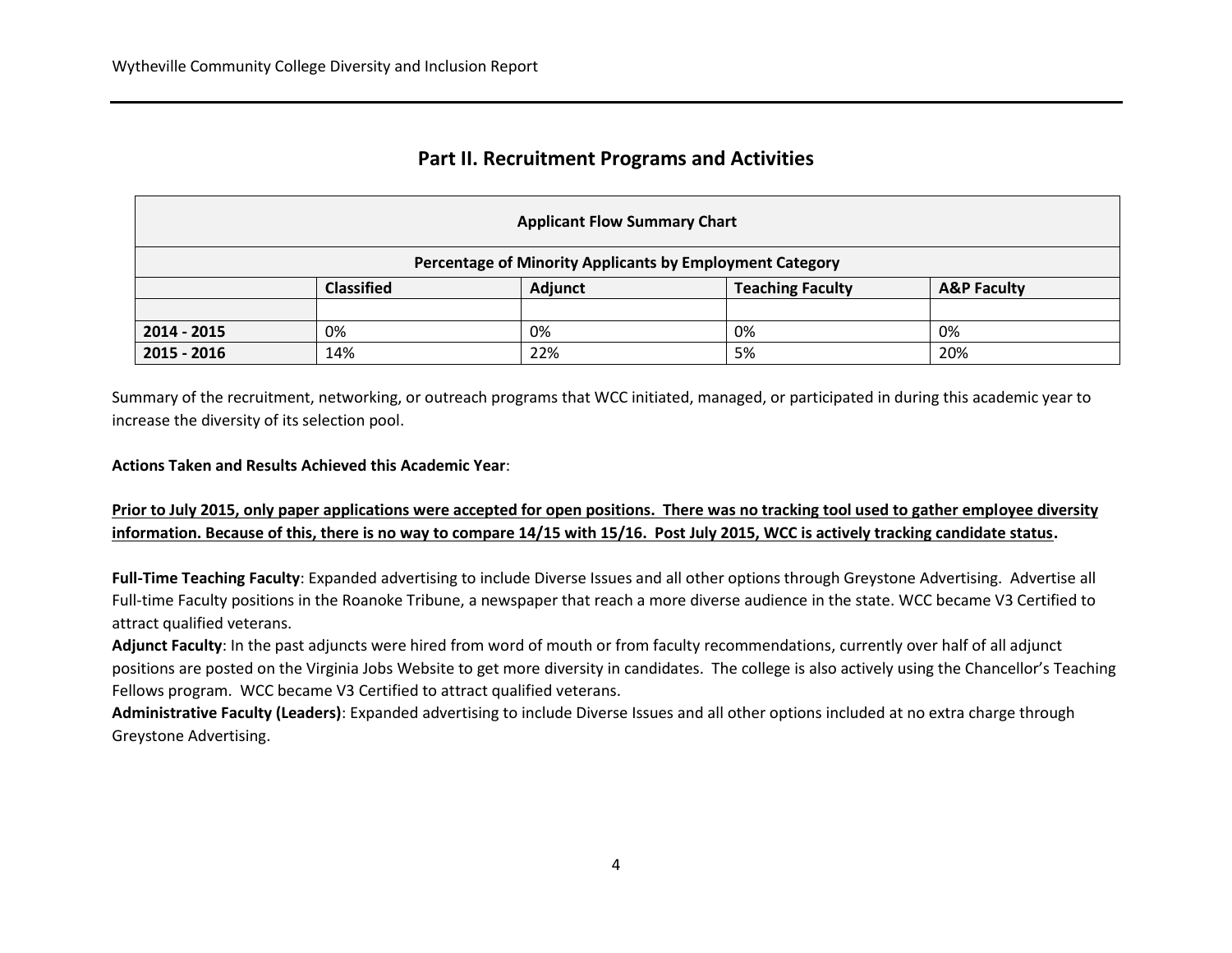## **Part II. Recruitment Programs and Activities**

| <b>Applicant Flow Summary Chart</b>                      |                   |                |                         |                        |  |  |
|----------------------------------------------------------|-------------------|----------------|-------------------------|------------------------|--|--|
| Percentage of Minority Applicants by Employment Category |                   |                |                         |                        |  |  |
|                                                          | <b>Classified</b> | <b>Adjunct</b> | <b>Teaching Faculty</b> | <b>A&amp;P Faculty</b> |  |  |
|                                                          |                   |                |                         |                        |  |  |
| 2014 - 2015                                              | 0%                | 0%             | 0%                      | 0%                     |  |  |
| 2015 - 2016                                              | 14%               | 22%            | 5%                      | 20%                    |  |  |

Summary of the recruitment, networking, or outreach programs that WCC initiated, managed, or participated in during this academic year to increase the diversity of its selection pool.

**Actions Taken and Results Achieved this Academic Year**:

**Prior to July 2015, only paper applications were accepted for open positions. There was no tracking tool used to gather employee diversity information. Because of this, there is no way to compare 14/15 with 15/16. Post July 2015, WCC is actively tracking candidate status.**

Full-Time Teaching Faculty: Expanded advertising to include Diverse Issues and all other options through Greystone Advertising. Advertise all Full-time Faculty positions in the Roanoke Tribune, a newspaper that reach a more diverse audience in the state. WCC became V3 Certified to attract qualified veterans.

**Adjunct Faculty**: In the past adjuncts were hired from word of mouth or from faculty recommendations, currently over half of all adjunct positions are posted on the Virginia Jobs Website to get more diversity in candidates. The college is also actively using the Chancellor's Teaching Fellows program. WCC became V3 Certified to attract qualified veterans.

**Administrative Faculty (Leaders)**: Expanded advertising to include Diverse Issues and all other options included at no extra charge through Greystone Advertising.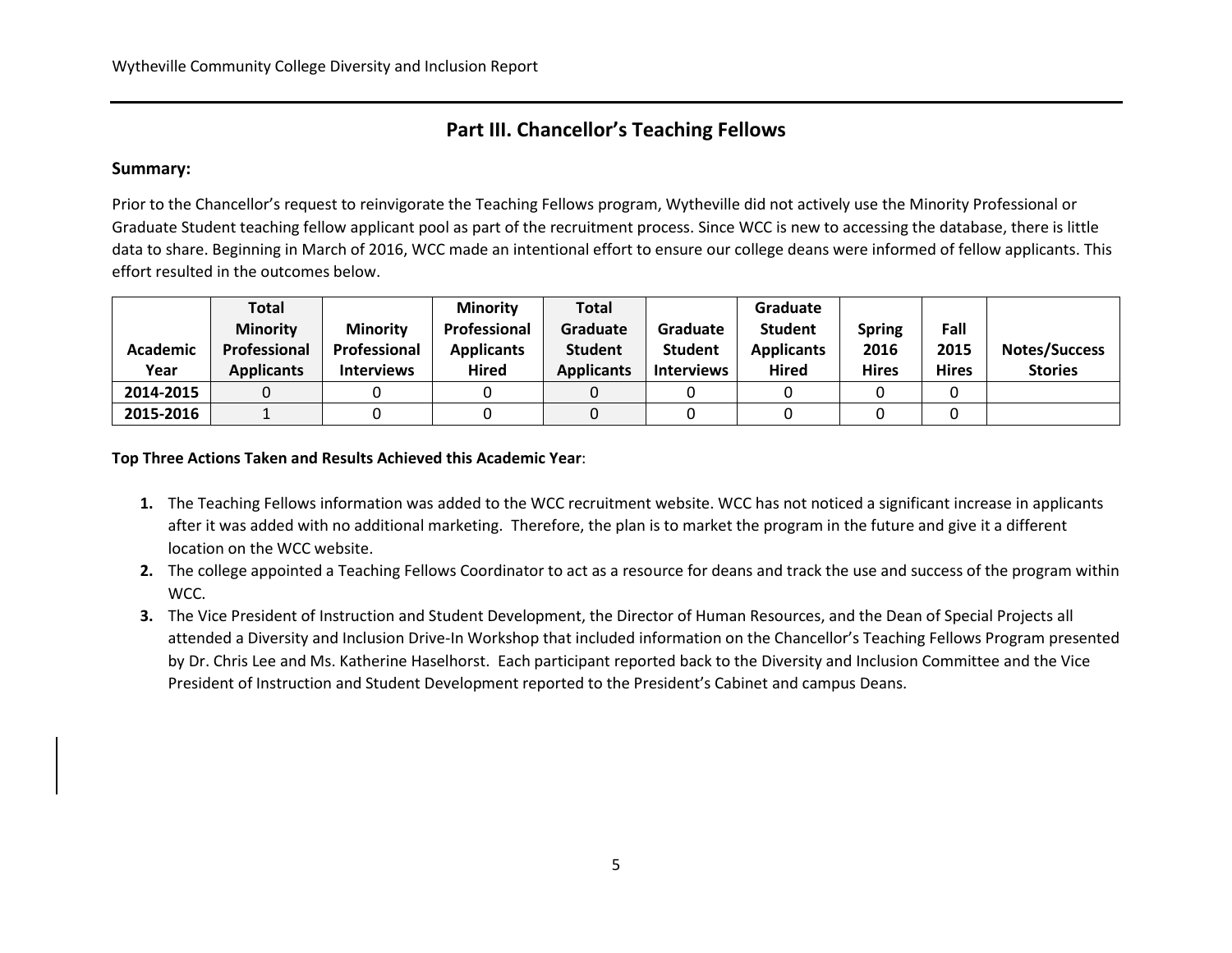## **Part III. Chancellor's Teaching Fellows**

#### **Summary:**

Prior to the Chancellor's request to reinvigorate the Teaching Fellows program, Wytheville did not actively use the Minority Professional or Graduate Student teaching fellow applicant pool as part of the recruitment process. Since WCC is new to accessing the database, there is little data to share. Beginning in March of 2016, WCC made an intentional effort to ensure our college deans were informed of fellow applicants. This effort resulted in the outcomes below.

|           | Total             |                   | <b>Minority</b>   | <b>Total</b>      |                   | Graduate          |              |              |                      |
|-----------|-------------------|-------------------|-------------------|-------------------|-------------------|-------------------|--------------|--------------|----------------------|
|           | <b>Minority</b>   | <b>Minority</b>   | Professional      | Graduate          | Graduate          | <b>Student</b>    | Spring       | Fall         |                      |
| Academic  | Professional      | Professional      | <b>Applicants</b> | <b>Student</b>    | <b>Student</b>    | <b>Applicants</b> | 2016         | 2015         | <b>Notes/Success</b> |
| Year      | <b>Applicants</b> | <b>Interviews</b> | <b>Hired</b>      | <b>Applicants</b> | <b>Interviews</b> | <b>Hired</b>      | <b>Hires</b> | <b>Hires</b> | <b>Stories</b>       |
| 2014-2015 |                   |                   |                   |                   |                   |                   |              |              |                      |
| 2015-2016 |                   |                   |                   |                   |                   |                   |              |              |                      |

**Top Three Actions Taken and Results Achieved this Academic Year**:

- **1.** The Teaching Fellows information was added to the WCC recruitment website. WCC has not noticed a significant increase in applicants after it was added with no additional marketing. Therefore, the plan is to market the program in the future and give it a different location on the WCC website.
- **2.** The college appointed a Teaching Fellows Coordinator to act as a resource for deans and track the use and success of the program within WCC.
- **3.** The Vice President of Instruction and Student Development, the Director of Human Resources, and the Dean of Special Projects all attended a Diversity and Inclusion Drive-In Workshop that included information on the Chancellor's Teaching Fellows Program presented by Dr. Chris Lee and Ms. Katherine Haselhorst. Each participant reported back to the Diversity and Inclusion Committee and the Vice President of Instruction and Student Development reported to the President's Cabinet and campus Deans.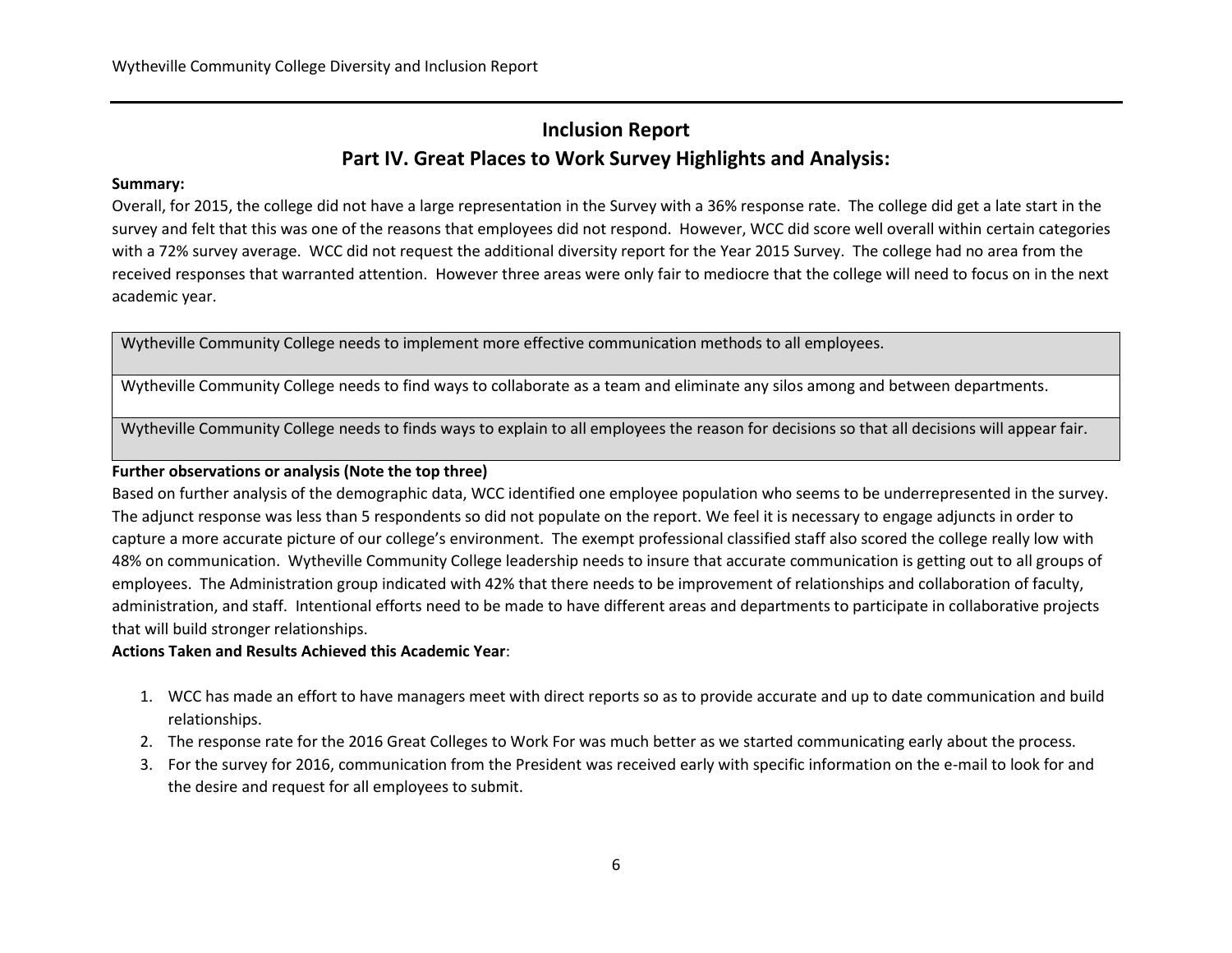## **Inclusion Report Part IV. Great Places to Work Survey Highlights and Analysis:**

#### **Summary:**

Overall, for 2015, the college did not have a large representation in the Survey with a 36% response rate. The college did get a late start in the survey and felt that this was one of the reasons that employees did not respond. However, WCC did score well overall within certain categories with a 72% survey average. WCC did not request the additional diversity report for the Year 2015 Survey. The college had no area from the received responses that warranted attention. However three areas were only fair to mediocre that the college will need to focus on in the next academic year.

Wytheville Community College needs to implement more effective communication methods to all employees.

Wytheville Community College needs to find ways to collaborate as a team and eliminate any silos among and between departments.

Wytheville Community College needs to finds ways to explain to all employees the reason for decisions so that all decisions will appear fair.

#### **Further observations or analysis (Note the top three)**

Based on further analysis of the demographic data, WCC identified one employee population who seems to be underrepresented in the survey. The adjunct response was less than 5 respondents so did not populate on the report. We feel it is necessary to engage adjuncts in order to capture a more accurate picture of our college's environment. The exempt professional classified staff also scored the college really low with 48% on communication. Wytheville Community College leadership needs to insure that accurate communication is getting out to all groups of employees. The Administration group indicated with 42% that there needs to be improvement of relationships and collaboration of faculty, administration, and staff. Intentional efforts need to be made to have different areas and departments to participate in collaborative projects that will build stronger relationships.

#### **Actions Taken and Results Achieved this Academic Year**:

- 1. WCC has made an effort to have managers meet with direct reports so as to provide accurate and up to date communication and build relationships.
- 2. The response rate for the 2016 Great Colleges to Work For was much better as we started communicating early about the process.
- 3. For the survey for 2016, communication from the President was received early with specific information on the e-mail to look for and the desire and request for all employees to submit.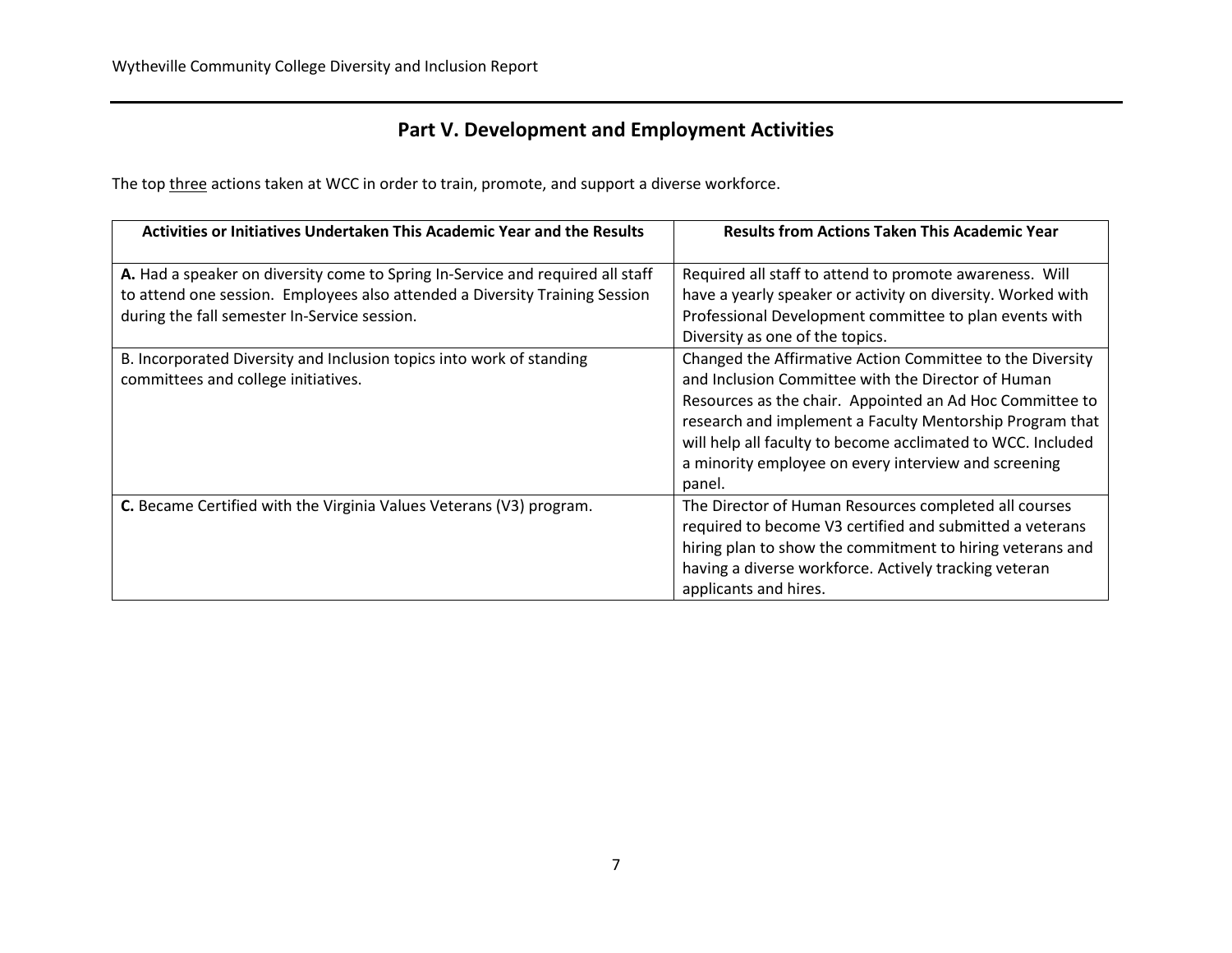## **Part V. Development and Employment Activities**

The top three actions taken at WCC in order to train, promote, and support a diverse workforce.

| Activities or Initiatives Undertaken This Academic Year and the Results        | <b>Results from Actions Taken This Academic Year</b>        |
|--------------------------------------------------------------------------------|-------------------------------------------------------------|
| A. Had a speaker on diversity come to Spring In-Service and required all staff | Required all staff to attend to promote awareness. Will     |
| to attend one session. Employees also attended a Diversity Training Session    | have a yearly speaker or activity on diversity. Worked with |
| during the fall semester In-Service session.                                   | Professional Development committee to plan events with      |
|                                                                                | Diversity as one of the topics.                             |
| B. Incorporated Diversity and Inclusion topics into work of standing           | Changed the Affirmative Action Committee to the Diversity   |
| committees and college initiatives.                                            | and Inclusion Committee with the Director of Human          |
|                                                                                | Resources as the chair. Appointed an Ad Hoc Committee to    |
|                                                                                | research and implement a Faculty Mentorship Program that    |
|                                                                                | will help all faculty to become acclimated to WCC. Included |
|                                                                                | a minority employee on every interview and screening        |
|                                                                                | panel.                                                      |
| C. Became Certified with the Virginia Values Veterans (V3) program.            | The Director of Human Resources completed all courses       |
|                                                                                | required to become V3 certified and submitted a veterans    |
|                                                                                | hiring plan to show the commitment to hiring veterans and   |
|                                                                                | having a diverse workforce. Actively tracking veteran       |
|                                                                                | applicants and hires.                                       |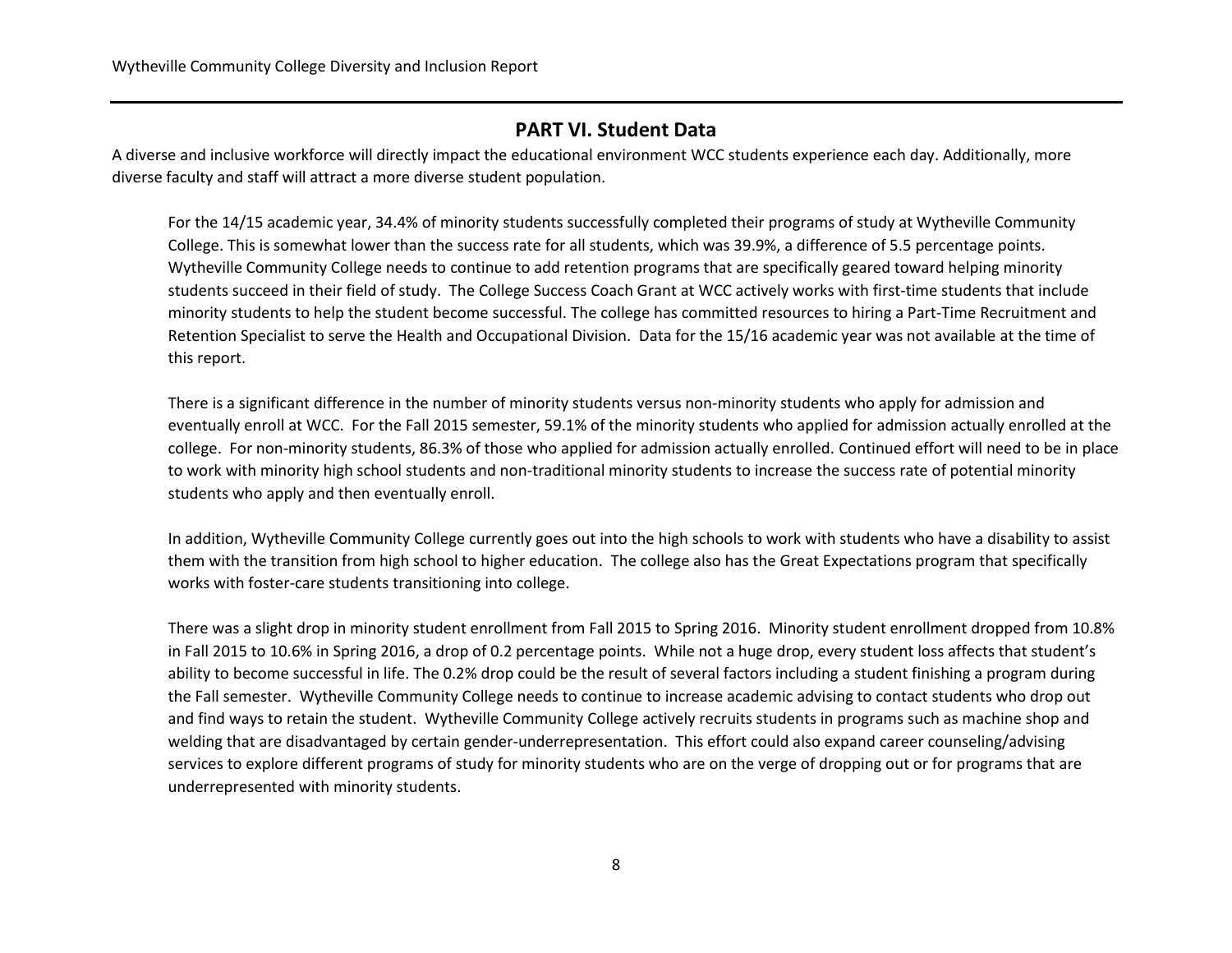## **PART VI. Student Data**

A diverse and inclusive workforce will directly impact the educational environment WCC students experience each day. Additionally, more diverse faculty and staff will attract a more diverse student population.

For the 14/15 academic year, 34.4% of minority students successfully completed their programs of study at Wytheville Community College. This is somewhat lower than the success rate for all students, which was 39.9%, a difference of 5.5 percentage points. Wytheville Community College needs to continue to add retention programs that are specifically geared toward helping minority students succeed in their field of study. The College Success Coach Grant at WCC actively works with first-time students that include minority students to help the student become successful. The college has committed resources to hiring a Part-Time Recruitment and Retention Specialist to serve the Health and Occupational Division. Data for the 15/16 academic year was not available at the time of this report.

There is a significant difference in the number of minority students versus non-minority students who apply for admission and eventually enroll at WCC. For the Fall 2015 semester, 59.1% of the minority students who applied for admission actually enrolled at the college. For non-minority students, 86.3% of those who applied for admission actually enrolled. Continued effort will need to be in place to work with minority high school students and non-traditional minority students to increase the success rate of potential minority students who apply and then eventually enroll.

In addition, Wytheville Community College currently goes out into the high schools to work with students who have a disability to assist them with the transition from high school to higher education. The college also has the Great Expectations program that specifically works with foster-care students transitioning into college.

There was a slight drop in minority student enrollment from Fall 2015 to Spring 2016. Minority student enrollment dropped from 10.8% in Fall 2015 to 10.6% in Spring 2016, a drop of 0.2 percentage points. While not a huge drop, every student loss affects that student's ability to become successful in life. The 0.2% drop could be the result of several factors including a student finishing a program during the Fall semester. Wytheville Community College needs to continue to increase academic advising to contact students who drop out and find ways to retain the student. Wytheville Community College actively recruits students in programs such as machine shop and welding that are disadvantaged by certain gender-underrepresentation. This effort could also expand career counseling/advising services to explore different programs of study for minority students who are on the verge of dropping out or for programs that are underrepresented with minority students.